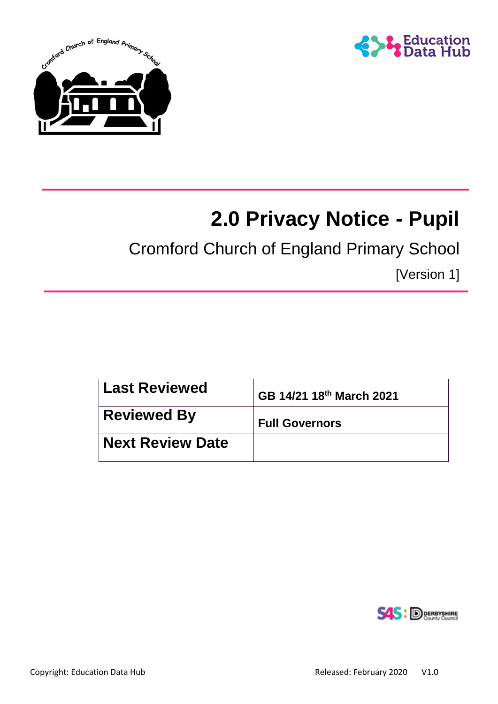



# **2.0 Privacy Notice - Pupil**

Cromford Church of England Primary School

[Version 1]

| Last Reviewed           | GB 14/21 18th March 2021 |
|-------------------------|--------------------------|
| <b>Reviewed By</b>      | <b>Full Governors</b>    |
| <b>Next Review Date</b> |                          |

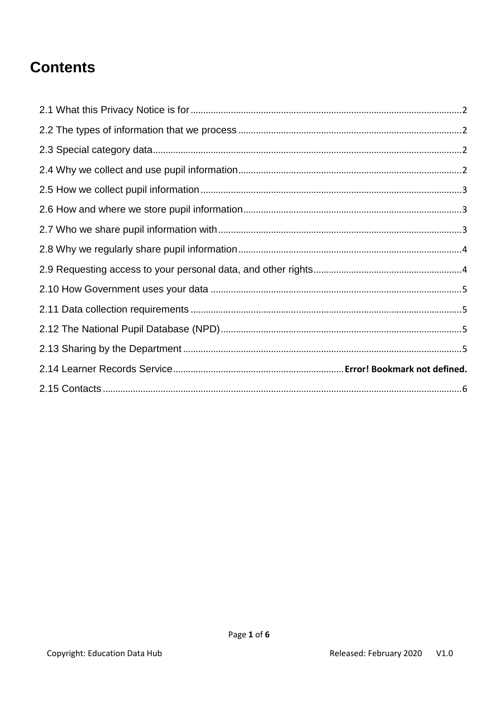## **Contents**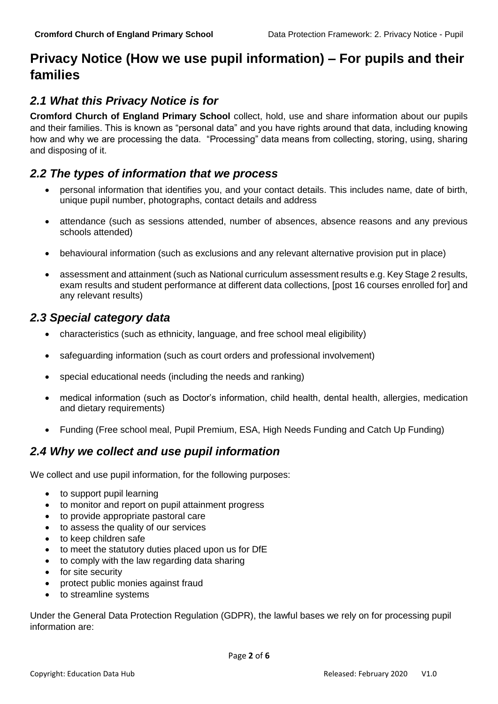### **Privacy Notice (How we use pupil information) – For pupils and their families**

### <span id="page-2-0"></span>*2.1 What this Privacy Notice is for*

**Cromford Church of England Primary School** collect, hold, use and share information about our pupils and their families. This is known as "personal data" and you have rights around that data, including knowing how and why we are processing the data. "Processing" data means from collecting, storing, using, sharing and disposing of it.

#### <span id="page-2-1"></span>*2.2 The types of information that we process*

- personal information that identifies you, and your contact details. This includes name, date of birth, unique pupil number, photographs, contact details and address
- attendance (such as sessions attended, number of absences, absence reasons and any previous schools attended)
- behavioural information (such as exclusions and any relevant alternative provision put in place)
- assessment and attainment (such as National curriculum assessment results e.g. Key Stage 2 results, exam results and student performance at different data collections, [post 16 courses enrolled for] and any relevant results)

#### <span id="page-2-2"></span>*2.3 Special category data*

- characteristics (such as ethnicity, language, and free school meal eligibility)
- safeguarding information (such as court orders and professional involvement)
- special educational needs (including the needs and ranking)
- medical information (such as Doctor's information, child health, dental health, allergies, medication and dietary requirements)
- Funding (Free school meal, Pupil Premium, ESA, High Needs Funding and Catch Up Funding)

#### <span id="page-2-3"></span>*2.4 Why we collect and use pupil information*

We collect and use pupil information, for the following purposes:

- to support pupil learning
- to monitor and report on pupil attainment progress
- to provide appropriate pastoral care
- to assess the quality of our services
- to keep children safe
- to meet the statutory duties placed upon us for DfE
- to comply with the law regarding data sharing
- for site security
- protect public monies against fraud
- to streamline systems

Under the General Data Protection Regulation (GDPR), the lawful bases we rely on for processing pupil information are: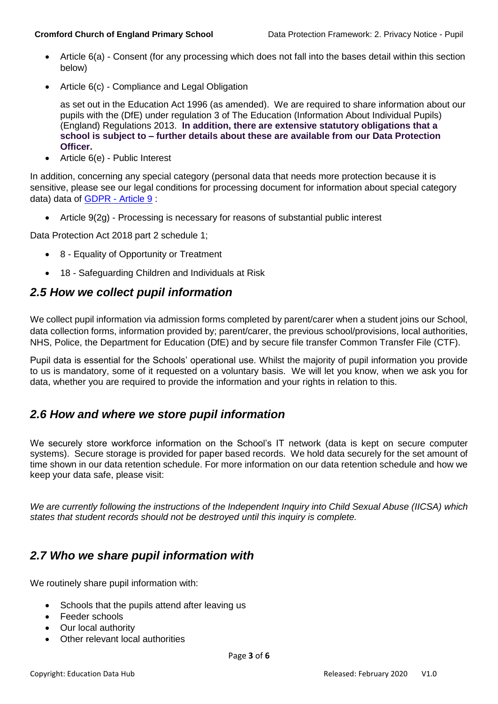- Article 6(a) Consent (for any processing which does not fall into the bases detail within this section below)
- Article 6(c) Compliance and Legal Obligation

as set out in the Education Act 1996 (as amended). We are required to share information about our pupils with the (DfE) under regulation 3 of The Education (Information About Individual Pupils) (England) Regulations 2013. **In addition, there are extensive statutory obligations that a school is subject to – further details about these are available from our Data Protection Officer.**

Article 6(e) - Public Interest

In addition, concerning any special category (personal data that needs more protection because it is sensitive, please see our legal conditions for processing document for information about special category data) data of [GDPR -](https://gdpr-info.eu/art-9-gdpr/) Article 9 :

Article 9(2g) - Processing is necessary for reasons of substantial public interest

Data Protection Act 2018 part 2 schedule 1;

- 8 Equality of Opportunity or Treatment
- 18 Safeguarding Children and Individuals at Risk

#### <span id="page-3-0"></span>*2.5 How we collect pupil information*

We collect pupil information via admission forms completed by parent/carer when a student joins our School, data collection forms, information provided by; parent/carer, the previous school/provisions, local authorities, NHS, Police, the Department for Education (DfE) and by secure file transfer Common Transfer File (CTF).

Pupil data is essential for the Schools' operational use. Whilst the majority of pupil information you provide to us is mandatory, some of it requested on a voluntary basis. We will let you know, when we ask you for data, whether you are required to provide the information and your rights in relation to this.

#### <span id="page-3-1"></span>*2.6 How and where we store pupil information*

We securely store workforce information on the School's IT network (data is kept on secure computer systems). Secure storage is provided for paper based records. We hold data securely for the set amount of time shown in our data retention schedule. For more information on our data retention schedule and how we keep your data safe, please visit:

*We are currently following the instructions of the Independent Inquiry into Child Sexual Abuse (IICSA) which states that student records should not be destroyed until this inquiry is complete.*

#### <span id="page-3-2"></span>*2.7 Who we share pupil information with*

We routinely share pupil information with:

- Schools that the pupils attend after leaving us
- Feeder schools
- Our local authority
- Other relevant local authorities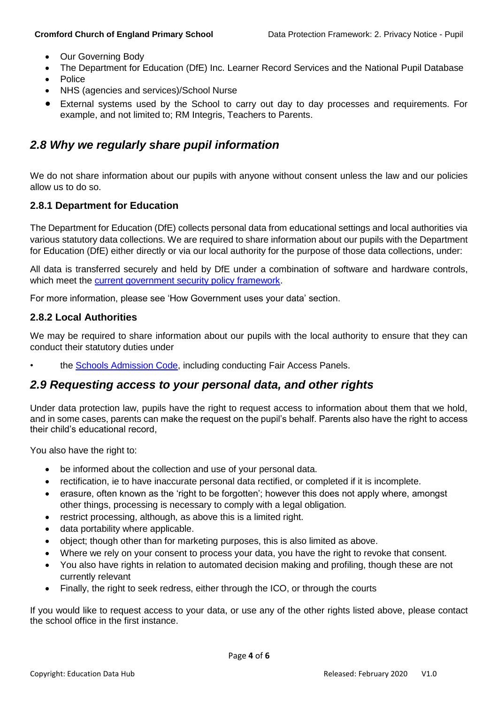- Our Governing Body
- The Department for Education (DfE) Inc. Learner Record Services and the National Pupil Database
- Police
- NHS (agencies and services)/School Nurse
- External systems used by the School to carry out day to day processes and requirements. For example, and not limited to; RM Integris, Teachers to Parents.

#### <span id="page-4-0"></span>*2.8 Why we regularly share pupil information*

We do not share information about our pupils with anyone without consent unless the law and our policies allow us to do so.

#### **2.8.1 Department for Education**

The Department for Education (DfE) collects personal data from educational settings and local authorities via various statutory data collections. We are required to share information about our pupils with the Department for Education (DfE) either directly or via our local authority for the purpose of those data collections, under:

All data is transferred securely and held by DfE under a combination of software and hardware controls, which meet the [current government security policy framework.](https://www.gov.uk/government/publications/security-policy-framework)

For more information, please see 'How Government uses your data' section.

#### **2.8.2 Local Authorities**

We may be required to share information about our pupils with the local authority to ensure that they can conduct their statutory duties under

the Schools [Admission Code,](https://www.gov.uk/government/publications/school-admissions-code--2) including conducting Fair Access Panels.

#### <span id="page-4-1"></span>*2.9 Requesting access to your personal data, and other rights*

Under data protection law, pupils have the right to request access to information about them that we hold. and in some cases, parents can make the request on the pupil's behalf. Parents also have the right to access their child's educational record,

You also have the right to:

- be informed about the collection and use of your personal data.
- rectification, ie to have inaccurate personal data rectified, or completed if it is incomplete.
- erasure, often known as the 'right to be forgotten'; however this does not apply where, amongst other things, processing is necessary to comply with a legal obligation.
- restrict processing, although, as above this is a limited right.
- data portability where applicable.
- object; though other than for marketing purposes, this is also limited as above.
- Where we rely on your consent to process your data, you have the right to revoke that consent.
- You also have rights in relation to automated decision making and profiling, though these are not currently relevant
- Finally, the right to seek redress, either through the ICO, or through the courts

If you would like to request access to your data, or use any of the other rights listed above, please contact the school office in the first instance.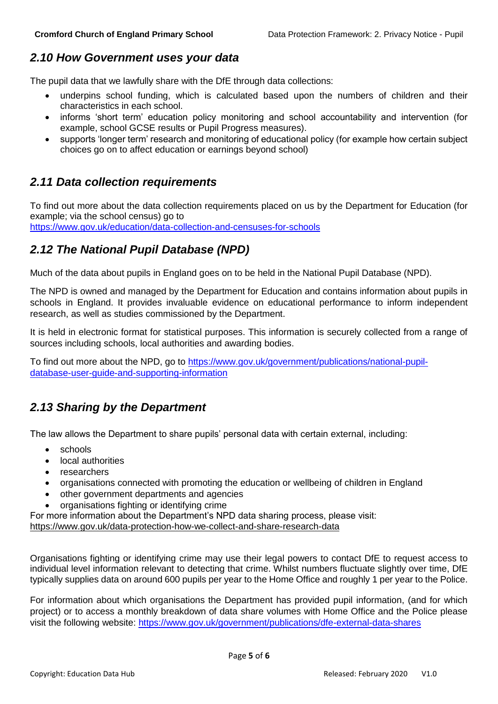#### <span id="page-5-0"></span>*2.10 How Government uses your data*

The pupil data that we lawfully share with the DfE through data collections:

- underpins school funding, which is calculated based upon the numbers of children and their characteristics in each school.
- informs 'short term' education policy monitoring and school accountability and intervention (for example, school GCSE results or Pupil Progress measures).
- supports 'longer term' research and monitoring of educational policy (for example how certain subject choices go on to affect education or earnings beyond school)

#### <span id="page-5-1"></span>*2.11 Data collection requirements*

To find out more about the data collection requirements placed on us by the Department for Education (for example; via the school census) go to

<https://www.gov.uk/education/data-collection-and-censuses-for-schools>

#### <span id="page-5-2"></span>*2.12 The National Pupil Database (NPD)*

Much of the data about pupils in England goes on to be held in the National Pupil Database (NPD).

The NPD is owned and managed by the Department for Education and contains information about pupils in schools in England. It provides invaluable evidence on educational performance to inform independent research, as well as studies commissioned by the Department.

It is held in electronic format for statistical purposes. This information is securely collected from a range of sources including schools, local authorities and awarding bodies.

To find out more about the NPD, go to [https://www.gov.uk/government/publications/national-pupil](https://www.gov.uk/government/publications/national-pupil-database-user-guide-and-supporting-information)[database-user-guide-and-supporting-information](https://www.gov.uk/government/publications/national-pupil-database-user-guide-and-supporting-information)

#### <span id="page-5-3"></span>*2.13 Sharing by the Department*

The law allows the Department to share pupils' personal data with certain external, including:

- schools
- local authorities
- researchers
- organisations connected with promoting the education or wellbeing of children in England
- other government departments and agencies
- organisations fighting or identifying crime

For more information about the Department's NPD data sharing process, please visit: <https://www.gov.uk/data-protection-how-we-collect-and-share-research-data>

Organisations fighting or identifying crime may use their legal powers to contact DfE to request access to individual level information relevant to detecting that crime. Whilst numbers fluctuate slightly over time, DfE typically supplies data on around 600 pupils per year to the Home Office and roughly 1 per year to the Police.

For information about which organisations the Department has provided pupil information, (and for which project) or to access a monthly breakdown of data share volumes with Home Office and the Police please visit the following website: <https://www.gov.uk/government/publications/dfe-external-data-shares>